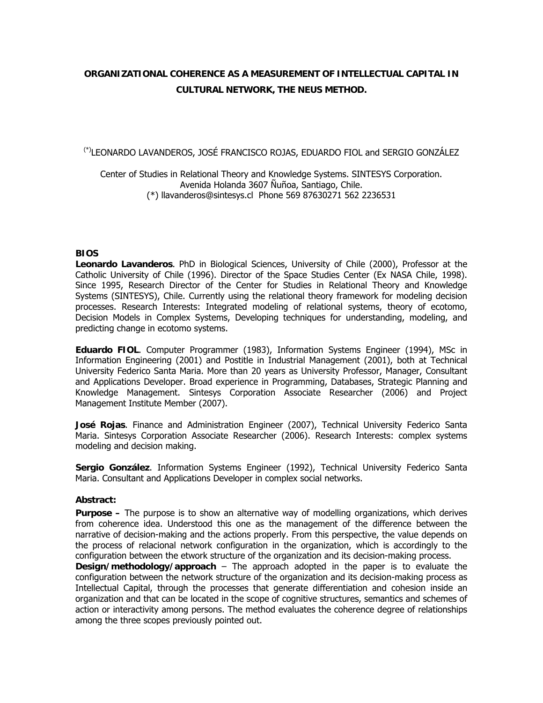# **ORGANIZATIONAL COHERENCE AS A MEASUREMENT OF INTELLECTUAL CAPITAL IN CULTURAL NETWORK, THE NEUS METHOD.**

(\*)LEONARDO LAVANDEROS, JOSÉ FRANCISCO ROJAS, EDUARDO FIOL and SERGIO GONZÁLEZ

Center of Studies in Relational Theory and Knowledge Systems. SINTESYS Corporation. Avenida Holanda 3607 Ñuñoa, Santiago, Chile. (\*) llavanderos@sintesys.cl Phone 569 87630271 562 2236531

## **BIOS**

**Leonardo Lavanderos**. PhD in Biological Sciences, University of Chile (2000), Professor at the Catholic University of Chile (1996). Director of the Space Studies Center (Ex NASA Chile, 1998). Since 1995, Research Director of the Center for Studies in Relational Theory and Knowledge Systems (SINTESYS), Chile. Currently using the relational theory framework for modeling decision processes. Research Interests: Integrated modeling of relational systems, theory of ecotomo, Decision Models in Complex Systems, Developing techniques for understanding, modeling, and predicting change in ecotomo systems.

**Eduardo FIOL**. Computer Programmer (1983), Information Systems Engineer (1994), MSc in Information Engineering (2001) and Postitle in Industrial Management (2001), both at Technical University Federico Santa Maria. More than 20 years as University Professor, Manager, Consultant and Applications Developer. Broad experience in Programming, Databases, Strategic Planning and Knowledge Management. Sintesys Corporation Associate Researcher (2006) and Project Management Institute Member (2007).

**José Rojas**. Finance and Administration Engineer (2007), Technical University Federico Santa Maria. Sintesys Corporation Associate Researcher (2006). Research Interests: complex systems modeling and decision making.

**Sergio González**. Information Systems Engineer (1992), Technical University Federico Santa Maria. Consultant and Applications Developer in complex social networks.

### **Abstract:**

**Purpose –** The purpose is to show an alternative way of modelling organizations, which derives from coherence idea. Understood this one as the management of the difference between the narrative of decision-making and the actions properly. From this perspective, the value depends on the process of relacional network configuration in the organization, which is accordingly to the configuration between the etwork structure of the organization and its decision-making process.

**Design/methodology/approach** – The approach adopted in the paper is to evaluate the configuration between the network structure of the organization and its decision-making process as Intellectual Capital, through the processes that generate differentiation and cohesion inside an organization and that can be located in the scope of cognitive structures, semantics and schemes of action or interactivity among persons. The method evaluates the coherence degree of relationships among the three scopes previously pointed out.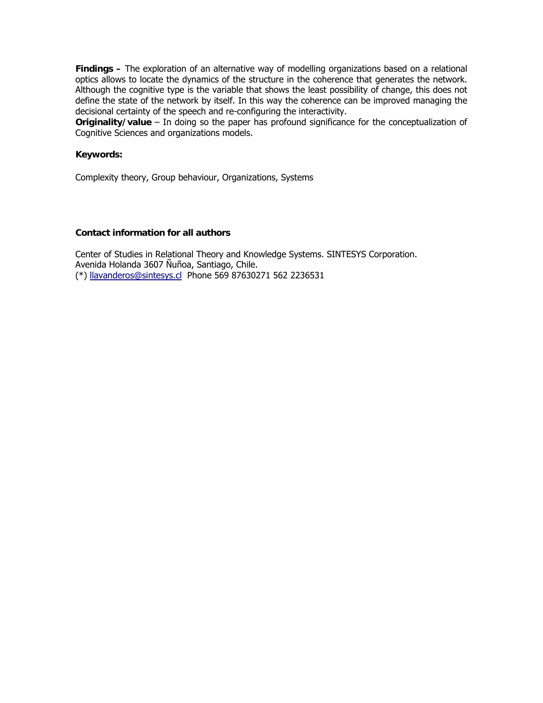**Findings –** The exploration of an alternative way of modelling organizations based on a relational optics allows to locate the dynamics of the structure in the coherence that generates the network. Although the cognitive type is the variable that shows the least possibility of change, this does not define the state of the network by itself. In this way the coherence can be improved managing the decisional certainty of the speech and re-configuring the interactivity.

**Originality/value** – In doing so the paper has profound significance for the conceptualization of Cognitive Sciences and organizations models.

### **Keywords:**

Complexity theory, Group behaviour, Organizations, Systems

### **Contact information for all authors**

Center of Studies in Relational Theory and Knowledge Systems. SINTESYS Corporation. Avenida Holanda 3607 Ñuñoa, Santiago, Chile. (\*) llavanderos@sintesys.cl Phone 569 87630271 562 2236531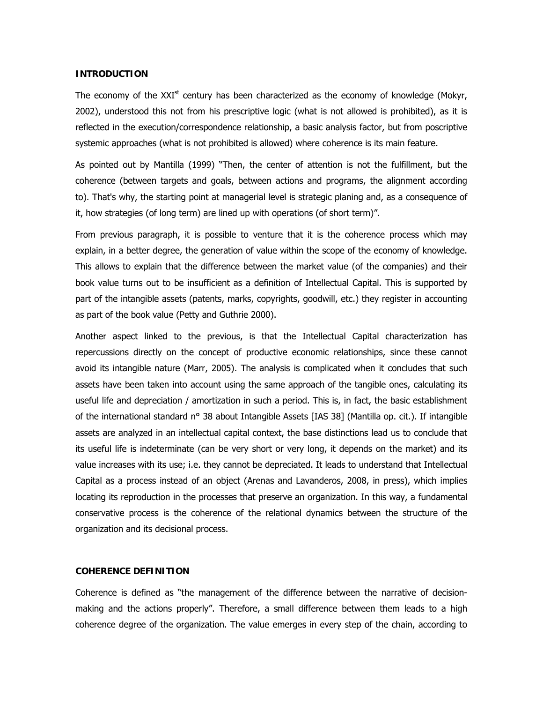### **INTRODUCTION**

The economy of the  $XXI<sup>st</sup>$  century has been characterized as the economy of knowledge (Mokyr, 2002), understood this not from his prescriptive logic (what is not allowed is prohibited), as it is reflected in the execution/correspondence relationship, a basic analysis factor, but from poscriptive systemic approaches (what is not prohibited is allowed) where coherence is its main feature.

As pointed out by Mantilla (1999) "Then, the center of attention is not the fulfillment, but the coherence (between targets and goals, between actions and programs, the alignment according to). That's why, the starting point at managerial level is strategic planing and, as a consequence of it, how strategies (of long term) are lined up with operations (of short term)".

From previous paragraph, it is possible to venture that it is the coherence process which may explain, in a better degree, the generation of value within the scope of the economy of knowledge. This allows to explain that the difference between the market value (of the companies) and their book value turns out to be insufficient as a definition of Intellectual Capital. This is supported by part of the intangible assets (patents, marks, copyrights, goodwill, etc.) they register in accounting as part of the book value (Petty and Guthrie 2000).

Another aspect linked to the previous, is that the Intellectual Capital characterization has repercussions directly on the concept of productive economic relationships, since these cannot avoid its intangible nature (Marr, 2005). The analysis is complicated when it concludes that such assets have been taken into account using the same approach of the tangible ones, calculating its useful life and depreciation / amortization in such a period. This is, in fact, the basic establishment of the international standard n° 38 about Intangible Assets [IAS 38] (Mantilla op. cit.). If intangible assets are analyzed in an intellectual capital context, the base distinctions lead us to conclude that its useful life is indeterminate (can be very short or very long, it depends on the market) and its value increases with its use; i.e. they cannot be depreciated. It leads to understand that Intellectual Capital as a process instead of an object (Arenas and Lavanderos, 2008, in press), which implies locating its reproduction in the processes that preserve an organization. In this way, a fundamental conservative process is the coherence of the relational dynamics between the structure of the organization and its decisional process.

### **COHERENCE DEFINITION**

Coherence is defined as "the management of the difference between the narrative of decisionmaking and the actions properly". Therefore, a small difference between them leads to a high coherence degree of the organization. The value emerges in every step of the chain, according to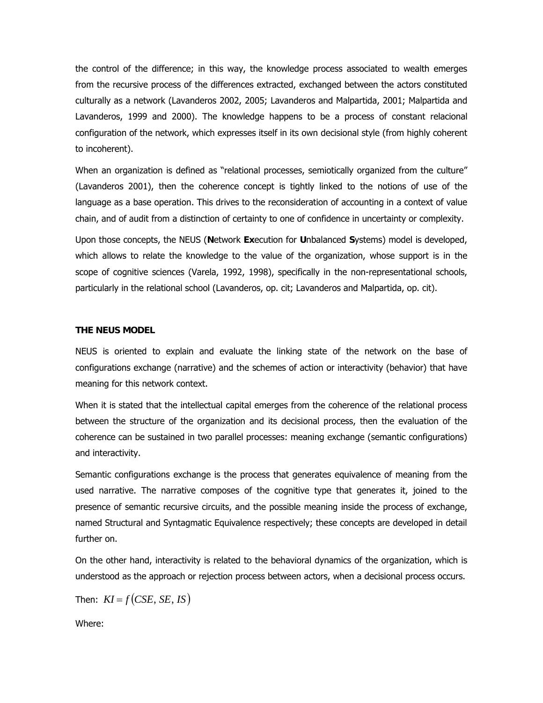the control of the difference; in this way, the knowledge process associated to wealth emerges from the recursive process of the differences extracted, exchanged between the actors constituted culturally as a network (Lavanderos 2002, 2005; Lavanderos and Malpartida, 2001; Malpartida and Lavanderos, 1999 and 2000). The knowledge happens to be a process of constant relacional configuration of the network, which expresses itself in its own decisional style (from highly coherent to incoherent).

When an organization is defined as "relational processes, semiotically organized from the culture" (Lavanderos 2001), then the coherence concept is tightly linked to the notions of use of the language as a base operation. This drives to the reconsideration of accounting in a context of value chain, and of audit from a distinction of certainty to one of confidence in uncertainty or complexity.

Upon those concepts, the NEUS (**N**etwork **Ex**ecution for **U**nbalanced **S**ystems) model is developed, which allows to relate the knowledge to the value of the organization, whose support is in the scope of cognitive sciences (Varela, 1992, 1998), specifically in the non-representational schools, particularly in the relational school (Lavanderos, op. cit; Lavanderos and Malpartida, op. cit).

## **THE NEUS MODEL**

NEUS is oriented to explain and evaluate the linking state of the network on the base of configurations exchange (narrative) and the schemes of action or interactivity (behavior) that have meaning for this network context.

When it is stated that the intellectual capital emerges from the coherence of the relational process between the structure of the organization and its decisional process, then the evaluation of the coherence can be sustained in two parallel processes: meaning exchange (semantic configurations) and interactivity.

Semantic configurations exchange is the process that generates equivalence of meaning from the used narrative. The narrative composes of the cognitive type that generates it, joined to the presence of semantic recursive circuits, and the possible meaning inside the process of exchange, named Structural and Syntagmatic Equivalence respectively; these concepts are developed in detail further on.

On the other hand, interactivity is related to the behavioral dynamics of the organization, which is understood as the approach or rejection process between actors, when a decisional process occurs.

Then:  $KI = f(CSE, SE, IS)$ 

Where: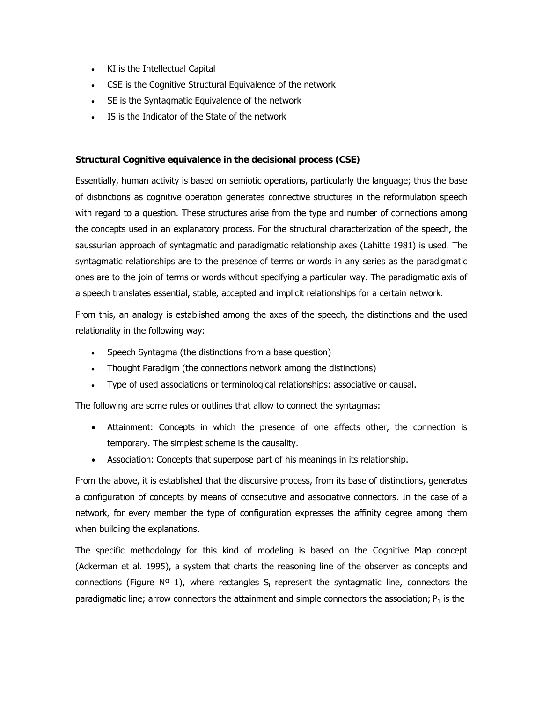- KI is the Intellectual Capital
- CSE is the Cognitive Structural Equivalence of the network
- SE is the Syntagmatic Equivalence of the network
- IS is the Indicator of the State of the network

## **Structural Cognitive equivalence in the decisional process (CSE)**

Essentially, human activity is based on semiotic operations, particularly the language; thus the base of distinctions as cognitive operation generates connective structures in the reformulation speech with regard to a question. These structures arise from the type and number of connections among the concepts used in an explanatory process. For the structural characterization of the speech, the saussurian approach of syntagmatic and paradigmatic relationship axes (Lahitte 1981) is used. The syntagmatic relationships are to the presence of terms or words in any series as the paradigmatic ones are to the join of terms or words without specifying a particular way. The paradigmatic axis of a speech translates essential, stable, accepted and implicit relationships for a certain network.

From this, an analogy is established among the axes of the speech, the distinctions and the used relationality in the following way:

- Speech Syntagma (the distinctions from a base question)
- Thought Paradigm (the connections network among the distinctions)
- Type of used associations or terminological relationships: associative or causal.

The following are some rules or outlines that allow to connect the syntagmas:

- Attainment: Concepts in which the presence of one affects other, the connection is temporary. The simplest scheme is the causality.
- Association: Concepts that superpose part of his meanings in its relationship.

From the above, it is established that the discursive process, from its base of distinctions, generates a configuration of concepts by means of consecutive and associative connectors. In the case of a network, for every member the type of configuration expresses the affinity degree among them when building the explanations.

The specific methodology for this kind of modeling is based on the Cognitive Map concept (Ackerman et al. 1995), a system that charts the reasoning line of the observer as concepts and connections (Figure  $N^{\circ}$  1), where rectangles  $S_i$  represent the syntagmatic line, connectors the paradigmatic line; arrow connectors the attainment and simple connectors the association;  $P_1$  is the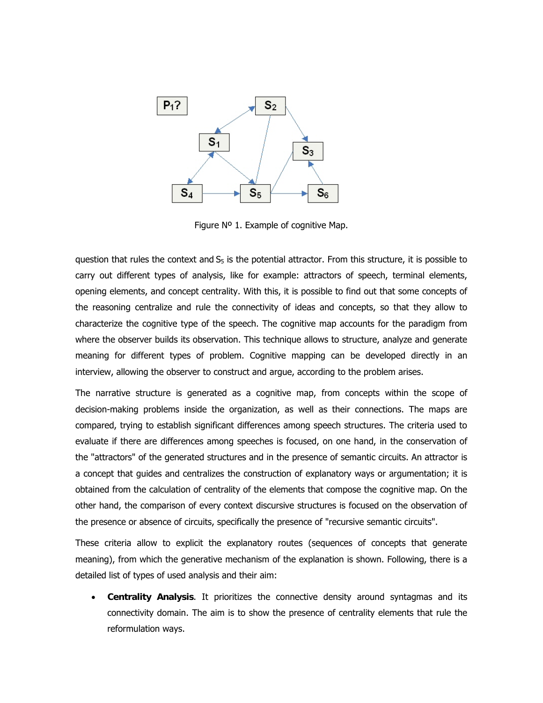

Figure Nº 1. Example of cognitive Map.

question that rules the context and  $S<sub>5</sub>$  is the potential attractor. From this structure, it is possible to carry out different types of analysis, like for example: attractors of speech, terminal elements, opening elements, and concept centrality. With this, it is possible to find out that some concepts of the reasoning centralize and rule the connectivity of ideas and concepts, so that they allow to characterize the cognitive type of the speech. The cognitive map accounts for the paradigm from where the observer builds its observation. This technique allows to structure, analyze and generate meaning for different types of problem. Cognitive mapping can be developed directly in an interview, allowing the observer to construct and argue, according to the problem arises.

The narrative structure is generated as a cognitive map, from concepts within the scope of decision-making problems inside the organization, as well as their connections. The maps are compared, trying to establish significant differences among speech structures. The criteria used to evaluate if there are differences among speeches is focused, on one hand, in the conservation of the "attractors" of the generated structures and in the presence of semantic circuits. An attractor is a concept that guides and centralizes the construction of explanatory ways or argumentation; it is obtained from the calculation of centrality of the elements that compose the cognitive map. On the other hand, the comparison of every context discursive structures is focused on the observation of the presence or absence of circuits, specifically the presence of "recursive semantic circuits".

These criteria allow to explicit the explanatory routes (sequences of concepts that generate meaning), from which the generative mechanism of the explanation is shown. Following, there is a detailed list of types of used analysis and their aim:

• **Centrality Analysis**. It prioritizes the connective density around syntagmas and its connectivity domain. The aim is to show the presence of centrality elements that rule the reformulation ways.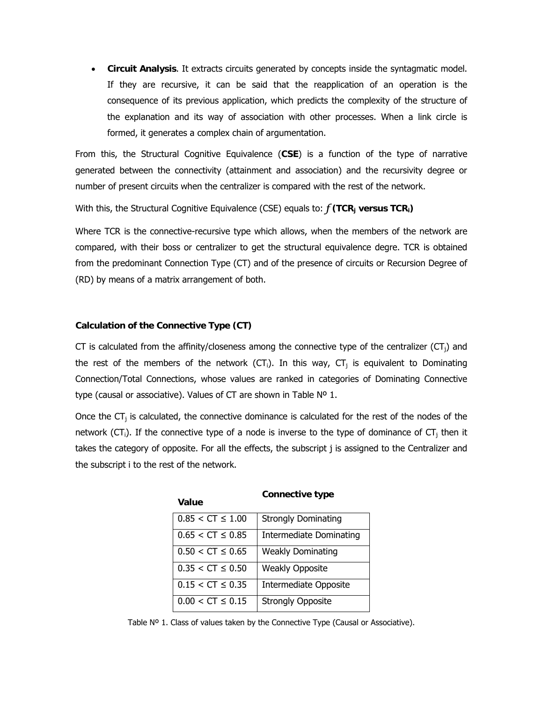• **Circuit Analysis**. It extracts circuits generated by concepts inside the syntagmatic model. If they are recursive, it can be said that the reapplication of an operation is the consequence of its previous application, which predicts the complexity of the structure of the explanation and its way of association with other processes. When a link circle is formed, it generates a complex chain of argumentation.

From this, the Structural Cognitive Equivalence (**CSE**) is a function of the type of narrative generated between the connectivity (attainment and association) and the recursivity degree or number of present circuits when the centralizer is compared with the rest of the network.

With this, the Structural Cognitive Equivalence (CSE) equals to:  $f(\text{TCR}_i \text{ versus TCR}_i)$ 

Where TCR is the connective-recursive type which allows, when the members of the network are compared, with their boss or centralizer to get the structural equivalence degre. TCR is obtained from the predominant Connection Type (CT) and of the presence of circuits or Recursion Degree of (RD) by means of a matrix arrangement of both.

## **Calculation of the Connective Type (CT)**

CT is calculated from the affinity/closeness among the connective type of the centralizer ( $CT_i$ ) and the rest of the members of the network  $(CT_i)$ . In this way,  $CT_i$  is equivalent to Dominating Connection/Total Connections, whose values are ranked in categories of Dominating Connective type (causal or associative). Values of CT are shown in Table Nº 1.

Once the  $CT_i$  is calculated, the connective dominance is calculated for the rest of the nodes of the network (CT<sub>i</sub>). If the connective type of a node is inverse to the type of dominance of CT<sub>j</sub> then it takes the category of opposite. For all the effects, the subscript j is assigned to the Centralizer and the subscript i to the rest of the network.

| $0.85 < C T \le 1.00$  | <b>Strongly Dominating</b>     |
|------------------------|--------------------------------|
| $0.65 < C T \leq 0.85$ | <b>Intermediate Dominating</b> |
| $0.50 < C T \leq 0.65$ | <b>Weakly Dominating</b>       |
| $0.35 < C T \le 0.50$  | <b>Weakly Opposite</b>         |
| $0.15 < C T \le 0.35$  | <b>Intermediate Opposite</b>   |
| $0.00 < C T \leq 0.15$ | <b>Strongly Opposite</b>       |

# **Value Connective type**

Table Nº 1. Class of values taken by the Connective Type (Causal or Associative).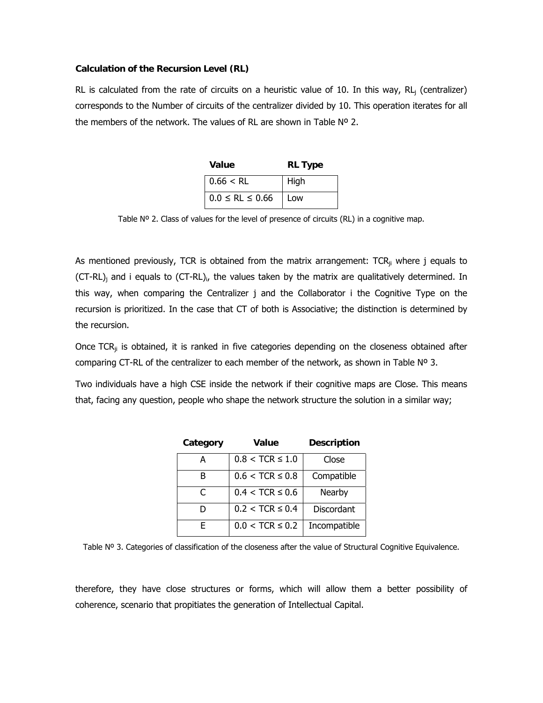### **Calculation of the Recursion Level (RL)**

RL is calculated from the rate of circuits on a heuristic value of 10. In this way, RL<sub>i</sub> (centralizer) corresponds to the Number of circuits of the centralizer divided by 10. This operation iterates for all the members of the network. The values of RL are shown in Table Nº 2.

| Value                    | <b>RL Type</b> |
|--------------------------|----------------|
| $0.66 < R$ L             | High           |
| $0.0 \leq R L \leq 0.66$ | Low            |

Table Nº 2. Class of values for the level of presence of circuits (RL) in a cognitive map.

As mentioned previously, TCR is obtained from the matrix arrangement:  $TCR_{ii}$  where j equals to (CT-RL)<sub>i</sub> and i equals to (CT-RL)<sub>i</sub>, the values taken by the matrix are qualitatively determined. In this way, when comparing the Centralizer j and the Collaborator i the Cognitive Type on the recursion is prioritized. In the case that CT of both is Associative; the distinction is determined by the recursion.

Once TCR $_{ii}$  is obtained, it is ranked in five categories depending on the closeness obtained after comparing CT-RL of the centralizer to each member of the network, as shown in Table  $N^{\circ}$  3.

Two individuals have a high CSE inside the network if their cognitive maps are Close. This means that, facing any question, people who shape the network structure the solution in a similar way;

| Category | Value               | <b>Description</b> |
|----------|---------------------|--------------------|
| А        | $0.8 < TCR \le 1.0$ | Close              |
| B        | $0.6 < TCR \le 0.8$ | Compatible         |
| C        | $0.4 < TCR \le 0.6$ | Nearby             |
| D        | $0.2 < TCR \le 0.4$ | Discordant         |
| F        | $0.0 < TCR \le 0.2$ | Incompatible       |

Table Nº 3. Categories of classification of the closeness after the value of Structural Cognitive Equivalence.

therefore, they have close structures or forms, which will allow them a better possibility of coherence, scenario that propitiates the generation of Intellectual Capital.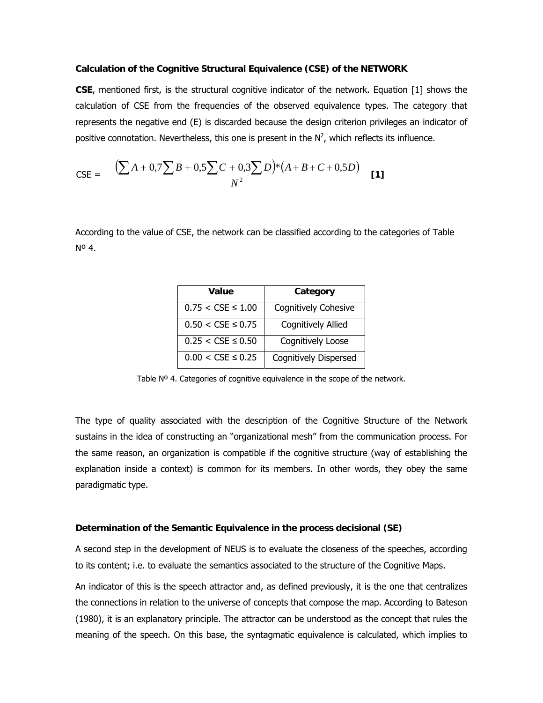## **Calculation of the Cognitive Structural Equivalence (CSE) of the NETWORK**

**CSE**, mentioned first, is the structural cognitive indicator of the network. Equation [1] shows the calculation of CSE from the frequencies of the observed equivalence types. The category that represents the negative end (E) is discarded because the design criterion privileges an indicator of positive connotation. Nevertheless, this one is present in the  $N^2$ , which reflects its influence.

$$
\text{CSE} = \frac{\left(\sum A + 0.7\sum B + 0.5\sum C + 0.3\sum D\right) * \left(A + B + C + 0.5D\right)}{N^2} \quad [1]
$$

According to the value of CSE, the network can be classified according to the categories of Table Nº 4.

| Value                         | Category                     |
|-------------------------------|------------------------------|
| $0.75 < CSE \le 1.00$         | Cognitively Cohesive         |
| $0.50 < \text{CSE} \leq 0.75$ | <b>Cognitively Allied</b>    |
| $0.25 < CSE \le 0.50$         | Cognitively Loose            |
| $0.00 < \text{CSE} \leq 0.25$ | <b>Cognitively Dispersed</b> |

Table Nº 4. Categories of cognitive equivalence in the scope of the network.

The type of quality associated with the description of the Cognitive Structure of the Network sustains in the idea of constructing an "organizational mesh" from the communication process. For the same reason, an organization is compatible if the cognitive structure (way of establishing the explanation inside a context) is common for its members. In other words, they obey the same paradigmatic type.

#### **Determination of the Semantic Equivalence in the process decisional (SE)**

A second step in the development of NEUS is to evaluate the closeness of the speeches, according to its content; i.e. to evaluate the semantics associated to the structure of the Cognitive Maps.

An indicator of this is the speech attractor and, as defined previously, it is the one that centralizes the connections in relation to the universe of concepts that compose the map. According to Bateson (1980), it is an explanatory principle. The attractor can be understood as the concept that rules the meaning of the speech. On this base, the syntagmatic equivalence is calculated, which implies to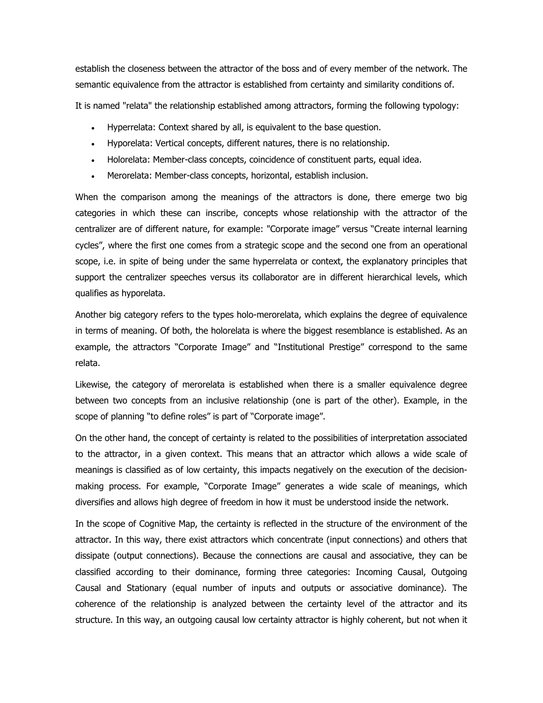establish the closeness between the attractor of the boss and of every member of the network. The semantic equivalence from the attractor is established from certainty and similarity conditions of.

It is named "relata" the relationship established among attractors, forming the following typology:

- Hyperrelata: Context shared by all, is equivalent to the base question.
- Hyporelata: Vertical concepts, different natures, there is no relationship.
- Holorelata: Member-class concepts, coincidence of constituent parts, equal idea.
- Merorelata: Member-class concepts, horizontal, establish inclusion.

When the comparison among the meanings of the attractors is done, there emerge two big categories in which these can inscribe, concepts whose relationship with the attractor of the centralizer are of different nature, for example: "Corporate image" versus "Create internal learning cycles", where the first one comes from a strategic scope and the second one from an operational scope, i.e. in spite of being under the same hyperrelata or context, the explanatory principles that support the centralizer speeches versus its collaborator are in different hierarchical levels, which qualifies as hyporelata.

Another big category refers to the types holo-merorelata, which explains the degree of equivalence in terms of meaning. Of both, the holorelata is where the biggest resemblance is established. As an example, the attractors "Corporate Image" and "Institutional Prestige" correspond to the same relata.

Likewise, the category of merorelata is established when there is a smaller equivalence degree between two concepts from an inclusive relationship (one is part of the other). Example, in the scope of planning "to define roles" is part of "Corporate image".

On the other hand, the concept of certainty is related to the possibilities of interpretation associated to the attractor, in a given context. This means that an attractor which allows a wide scale of meanings is classified as of low certainty, this impacts negatively on the execution of the decisionmaking process. For example, "Corporate Image" generates a wide scale of meanings, which diversifies and allows high degree of freedom in how it must be understood inside the network.

In the scope of Cognitive Map, the certainty is reflected in the structure of the environment of the attractor. In this way, there exist attractors which concentrate (input connections) and others that dissipate (output connections). Because the connections are causal and associative, they can be classified according to their dominance, forming three categories: Incoming Causal, Outgoing Causal and Stationary (equal number of inputs and outputs or associative dominance). The coherence of the relationship is analyzed between the certainty level of the attractor and its structure. In this way, an outgoing causal low certainty attractor is highly coherent, but not when it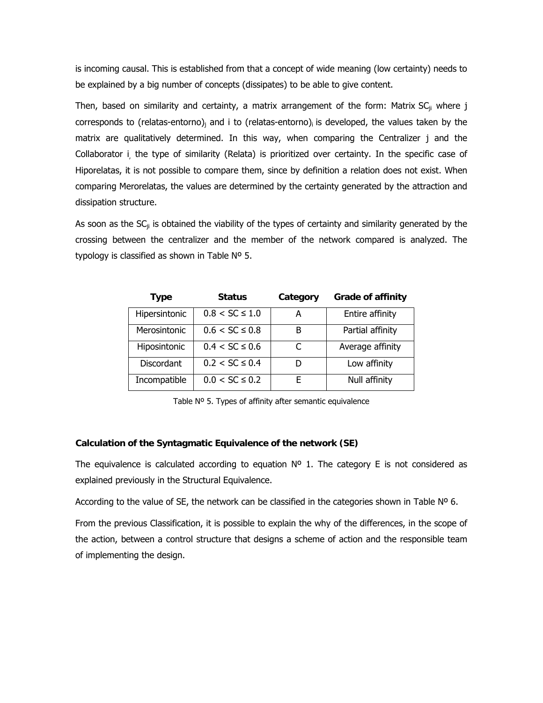is incoming causal. This is established from that a concept of wide meaning (low certainty) needs to be explained by a big number of concepts (dissipates) to be able to give content.

Then, based on similarity and certainty, a matrix arrangement of the form: Matrix  $SC_{ij}$  where j corresponds to (relatas-entorno)<sub>i</sub> and i to (relatas-entorno)<sub>i</sub> is developed, the values taken by the matrix are qualitatively determined. In this way, when comparing the Centralizer j and the Collaborator i, the type of similarity (Relata) is prioritized over certainty. In the specific case of Hiporelatas, it is not possible to compare them, since by definition a relation does not exist. When comparing Merorelatas, the values are determined by the certainty generated by the attraction and dissipation structure.

As soon as the  $SC_{ji}$  is obtained the viability of the types of certainty and similarity generated by the crossing between the centralizer and the member of the network compared is analyzed. The typology is classified as shown in Table Nº 5.

| <b>Type</b>       | <b>Status</b>       | Category | <b>Grade of affinity</b> |
|-------------------|---------------------|----------|--------------------------|
| Hipersintonic     | $0.8 < SC \le 1.0$  | А        | Entire affinity          |
| Merosintonic      | $0.6 < SC \leq 0.8$ | B        | Partial affinity         |
| Hiposintonic      | $0.4 < SC \le 0.6$  |          | Average affinity         |
| <b>Discordant</b> | $0.2 < SC \le 0.4$  | D        | Low affinity             |
| Incompatible      | $0.0 < SC \le 0.2$  | F        | Null affinity            |

Table Nº 5. Types of affinity after semantic equivalence

## **Calculation of the Syntagmatic Equivalence of the network (SE)**

The equivalence is calculated according to equation  $N^{\circ}$  1. The category E is not considered as explained previously in the Structural Equivalence.

According to the value of SE, the network can be classified in the categories shown in Table Nº 6.

From the previous Classification, it is possible to explain the why of the differences, in the scope of the action, between a control structure that designs a scheme of action and the responsible team of implementing the design.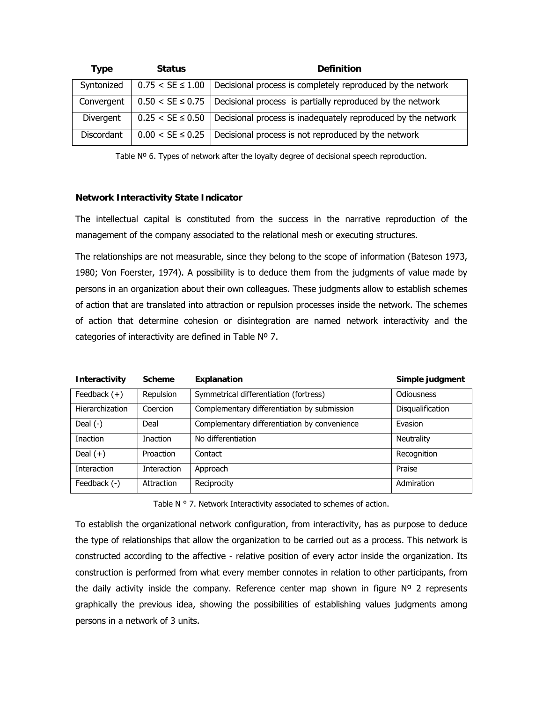| <b>Type</b>       | <b>Status</b>         | <b>Definition</b>                                                               |
|-------------------|-----------------------|---------------------------------------------------------------------------------|
| Syntonized        | $0.75 < SE \leq 1.00$ | Decisional process is completely reproduced by the network                      |
| Convergent        |                       | $0.50 < SE \leq 0.75$ Decisional process is partially reproduced by the network |
| Divergent         | $0.25 < SE \leq 0.50$ | Decisional process is inadequately reproduced by the network                    |
| <b>Discordant</b> | $0.00 < SE \leq 0.25$ | Decisional process is not reproduced by the network                             |

Table Nº 6. Types of network after the loyalty degree of decisional speech reproduction.

### **Network Interactivity State Indicator**

The intellectual capital is constituted from the success in the narrative reproduction of the management of the company associated to the relational mesh or executing structures.

The relationships are not measurable, since they belong to the scope of information (Bateson 1973, 1980; Von Foerster, 1974). A possibility is to deduce them from the judgments of value made by persons in an organization about their own colleagues. These judgments allow to establish schemes of action that are translated into attraction or repulsion processes inside the network. The schemes of action that determine cohesion or disintegration are named network interactivity and the categories of interactivity are defined in Table Nº 7.

| Interactivity          | <b>Scheme</b>      | <b>Explanation</b>                           | Simple judgment   |
|------------------------|--------------------|----------------------------------------------|-------------------|
| Feedback $(+)$         | Repulsion          | Symmetrical differentiation (fortress)       | Odiousness        |
| <b>Hierarchization</b> | Coercion           | Complementary differentiation by submission  | Disqualification  |
| Deal $(-)$             | Deal               | Complementary differentiation by convenience | Evasion           |
| <b>Inaction</b>        | <b>Inaction</b>    | No differentiation                           | <b>Neutrality</b> |
| Deal $(+)$             | Proaction          | Contact                                      | Recognition       |
| <b>Interaction</b>     | <b>Interaction</b> | Approach                                     | Praise            |
| Feedback (-)           | Attraction         | Reciprocity                                  | Admiration        |

Table N ° 7. Network Interactivity associated to schemes of action.

To establish the organizational network configuration, from interactivity, has as purpose to deduce the type of relationships that allow the organization to be carried out as a process. This network is constructed according to the affective - relative position of every actor inside the organization. Its construction is performed from what every member connotes in relation to other participants, from the daily activity inside the company. Reference center map shown in figure  $N^{\circ}$  2 represents graphically the previous idea, showing the possibilities of establishing values judgments among persons in a network of 3 units.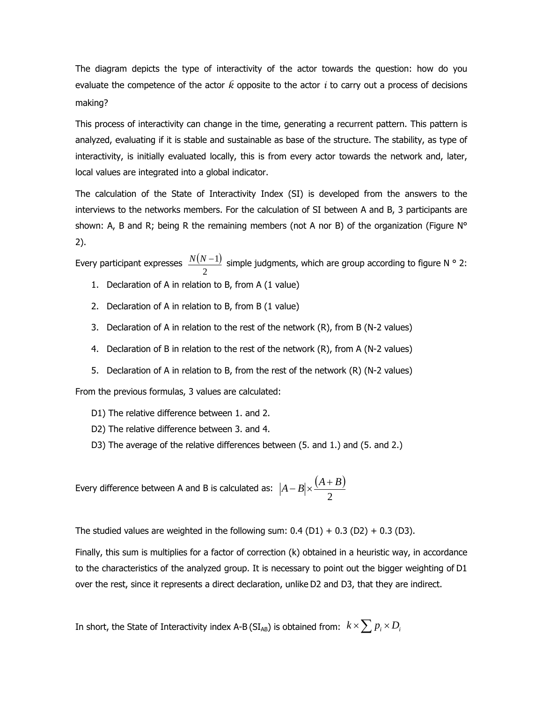The diagram depicts the type of interactivity of the actor towards the question: how do you evaluate the competence of the actor *k* opposite to the actor *i* to carry out a process of decisions making?

This process of interactivity can change in the time, generating a recurrent pattern. This pattern is analyzed, evaluating if it is stable and sustainable as base of the structure. The stability, as type of interactivity, is initially evaluated locally, this is from every actor towards the network and, later, local values are integrated into a global indicator.

The calculation of the State of Interactivity Index (SI) is developed from the answers to the interviews to the networks members. For the calculation of SI between A and B, 3 participants are shown: A, B and R; being R the remaining members (not A nor B) of the organization (Figure  $N^{\circ}$ 2).

Every participant expresses  $\frac{N(N-1)}{N(N-1)}$  simple judgments, which are group according to figure N ° 2: 2 *N N* −1

- 1. Declaration of A in relation to B, from A (1 value)
- 2. Declaration of A in relation to B, from B (1 value)
- 3. Declaration of A in relation to the rest of the network (R), from B (N-2 values)
- 4. Declaration of B in relation to the rest of the network (R), from A (N-2 values)
- 5. Declaration of A in relation to B, from the rest of the network (R) (N-2 values)

From the previous formulas, 3 values are calculated:

- D1) The relative difference between 1. and 2.
- D2) The relative difference between 3. and 4.
- D3) The average of the relative differences between (5. and 1.) and (5. and 2.)

Every difference between A and B is calculated as:  $\;|A-B|\times\frac{(A+B)}{(B+B)^2}$ 2  $A - B \times \frac{(A + B)}{2}$ 

The studied values are weighted in the following sum:  $0.4$  (D1) + 0.3 (D2) + 0.3 (D3).

Finally, this sum is multiplies for a factor of correction (k) obtained in a heuristic way, in accordance to the characteristics of the analyzed group. It is necessary to point out the bigger weighting of D1 over the rest, since it represents a direct declaration, unlike D2 and D3, that they are indirect.

In short, the State of Interactivity index A-B (SI<sub>AB</sub>) is obtained from:  $\;$   $k \times \sum p_i \times D_i$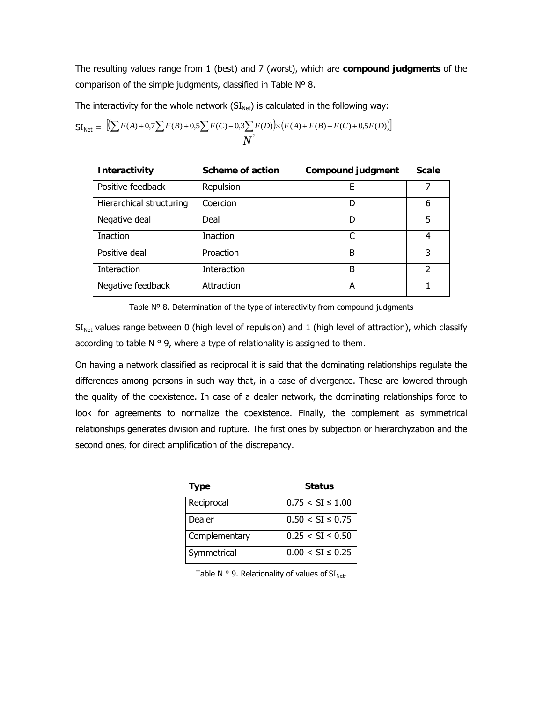The resulting values range from 1 (best) and 7 (worst), which are **compound judgments** of the comparison of the simple judgments, classified in Table Nº 8.

The interactivity for the whole network  $(SI_{Net})$  is calculated in the following way:

$$
SI_{\text{Net}} = \frac{\left[ \left( \sum F(A) + 0.7 \sum F(B) + 0.5 \sum F(C) + 0.3 \sum F(D) \right) \times \left( F(A) + F(B) + F(C) + 0.5 F(D) \right) \right]}{N^2}
$$

| <b>Interactivity</b>     | Scheme of action | <b>Compound judgment</b> | <b>Scale</b> |
|--------------------------|------------------|--------------------------|--------------|
| Positive feedback        | Repulsion        | F                        |              |
| Hierarchical structuring | Coercion         | D                        | 6            |
| Negative deal            | Deal             | D                        | 5            |
| <b>Inaction</b>          | <b>Inaction</b>  |                          | 4            |
| Positive deal            | Proaction        | B                        | 3            |
| Interaction              | Interaction      | B                        | 2            |
| Negative feedback        | Attraction       | А                        |              |

Table Nº 8. Determination of the type of interactivity from compound judgments

 $SI<sub>Net</sub>$  values range between 0 (high level of repulsion) and 1 (high level of attraction), which classify according to table  $N \circ 9$ , where a type of relationality is assigned to them.

On having a network classified as reciprocal it is said that the dominating relationships regulate the differences among persons in such way that, in a case of divergence. These are lowered through the quality of the coexistence. In case of a dealer network, the dominating relationships force to look for agreements to normalize the coexistence. Finally, the complement as symmetrical relationships generates division and rupture. The first ones by subjection or hierarchyzation and the second ones, for direct amplification of the discrepancy.

| <b>Type</b>   | <b>Status</b>         |
|---------------|-----------------------|
| Reciprocal    | $0.75 < SI \leq 1.00$ |
| Dealer        | $0.50 < SI \leq 0.75$ |
| Complementary | $0.25 < SI \leq 0.50$ |
| Symmetrical   | $0.00 < SI \leq 0.25$ |

Table N  $\circ$  9. Relationality of values of  $SI_{Net}$ .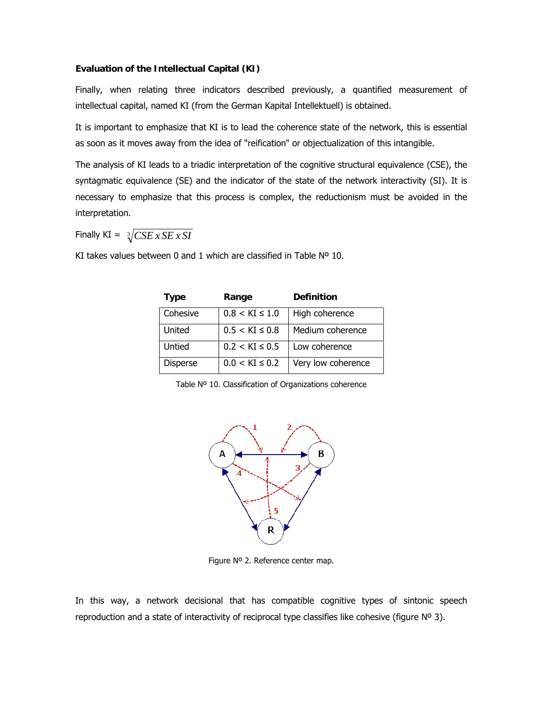## **Evaluation of the Intellectual Capital (KI)**

Finally, when relating three indicators described previously, a quantified measurement of intellectual capital, named KI (from the German Kapital Intellektuell) is obtained.

It is important to emphasize that KI is to lead the coherence state of the network, this is essential as soon as it moves away from the idea of "reification" or objectualization of this intangible.

The analysis of KI leads to a triadic interpretation of the cognitive structural equivalence (CSE), the syntagmatic equivalence (SE) and the indicator of the state of the network interactivity (SI). It is necessary to emphasize that this process is complex, the reductionism must be avoided in the interpretation.

Finally  $KI = \sqrt[3]{CSE \times SE \times SI}$ 

KI takes values between 0 and 1 which are classified in Table Nº 10.

| Type            | Range               | <b>Definition</b>  |
|-----------------|---------------------|--------------------|
| Cohesive        | $0.8 < KI \leq 1.0$ | High coherence     |
| United          | $0.5 < KI \leq 0.8$ | Medium coherence   |
| Untied          | $0.2 < KI \leq 0.5$ | Low coherence      |
| <b>Disperse</b> | $0.0 < KI \leq 0.2$ | Very low coherence |

Table Nº 10. Classification of Organizations coherence



Figure Nº 2. Reference center map.

In this way, a network decisional that has compatible cognitive types of sintonic speech reproduction and a state of interactivity of reciprocal type classifies like cohesive (figure  $N^{\circ}$  3).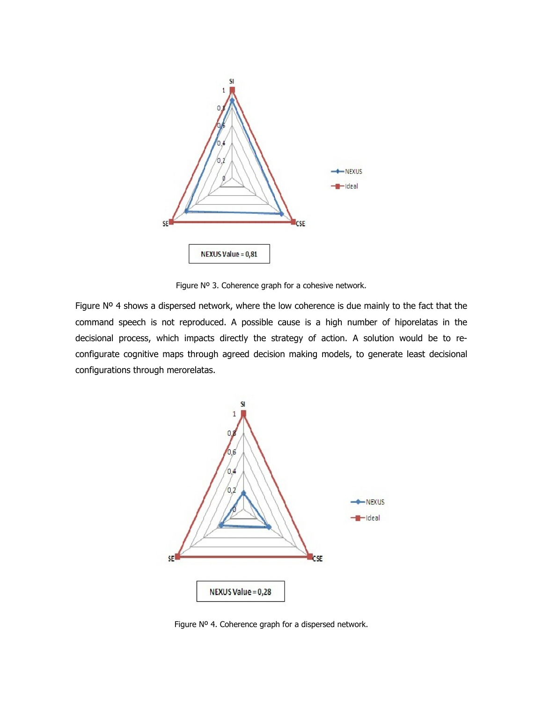

Figure Nº 3. Coherence graph for a cohesive network.

Figure Nº 4 shows a dispersed network, where the low coherence is due mainly to the fact that the command speech is not reproduced. A possible cause is a high number of hiporelatas in the decisional process, which impacts directly the strategy of action. A solution would be to reconfigurate cognitive maps through agreed decision making models, to generate least decisional configurations through merorelatas.



Figure Nº 4. Coherence graph for a dispersed network.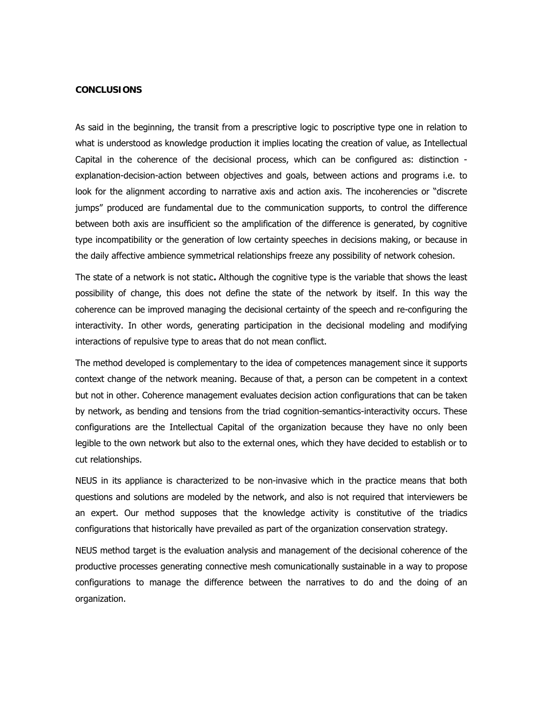### **CONCLUSIONS**

As said in the beginning, the transit from a prescriptive logic to poscriptive type one in relation to what is understood as knowledge production it implies locating the creation of value, as Intellectual Capital in the coherence of the decisional process, which can be configured as: distinction explanation-decision-action between objectives and goals, between actions and programs i.e. to look for the alignment according to narrative axis and action axis. The incoherencies or "discrete jumps" produced are fundamental due to the communication supports, to control the difference between both axis are insufficient so the amplification of the difference is generated, by cognitive type incompatibility or the generation of low certainty speeches in decisions making, or because in the daily affective ambience symmetrical relationships freeze any possibility of network cohesion.

The state of a network is not static**.** Although the cognitive type is the variable that shows the least possibility of change, this does not define the state of the network by itself. In this way the coherence can be improved managing the decisional certainty of the speech and re-configuring the interactivity. In other words, generating participation in the decisional modeling and modifying interactions of repulsive type to areas that do not mean conflict.

The method developed is complementary to the idea of competences management since it supports context change of the network meaning. Because of that, a person can be competent in a context but not in other. Coherence management evaluates decision action configurations that can be taken by network, as bending and tensions from the triad cognition-semantics-interactivity occurs. These configurations are the Intellectual Capital of the organization because they have no only been legible to the own network but also to the external ones, which they have decided to establish or to cut relationships.

NEUS in its appliance is characterized to be non-invasive which in the practice means that both questions and solutions are modeled by the network, and also is not required that interviewers be an expert. Our method supposes that the knowledge activity is constitutive of the triadics configurations that historically have prevailed as part of the organization conservation strategy.

NEUS method target is the evaluation analysis and management of the decisional coherence of the productive processes generating connective mesh comunicationally sustainable in a way to propose configurations to manage the difference between the narratives to do and the doing of an organization.